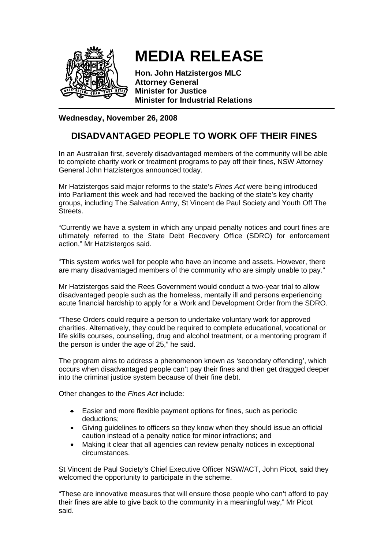

## **MEDIA RELEASE**

**Hon. John Hatzistergos MLC Attorney General Minister for Justice Minister for Industrial Relations** 

## **Wednesday, November 26, 2008**

## **DISADVANTAGED PEOPLE TO WORK OFF THEIR FINES**

In an Australian first, severely disadvantaged members of the community will be able to complete charity work or treatment programs to pay off their fines, NSW Attorney General John Hatzistergos announced today.

Mr Hatzistergos said major reforms to the state's *Fines Act* were being introduced into Parliament this week and had received the backing of the state's key charity groups, including The Salvation Army, St Vincent de Paul Society and Youth Off The **Streets** 

"Currently we have a system in which any unpaid penalty notices and court fines are ultimately referred to the State Debt Recovery Office (SDRO) for enforcement action," Mr Hatzistergos said.

"This system works well for people who have an income and assets. However, there are many disadvantaged members of the community who are simply unable to pay."

Mr Hatzistergos said the Rees Government would conduct a two-year trial to allow disadvantaged people such as the homeless, mentally ill and persons experiencing acute financial hardship to apply for a Work and Development Order from the SDRO.

"These Orders could require a person to undertake voluntary work for approved charities. Alternatively, they could be required to complete educational, vocational or life skills courses, counselling, drug and alcohol treatment, or a mentoring program if the person is under the age of 25," he said.

The program aims to address a phenomenon known as 'secondary offending', which occurs when disadvantaged people can't pay their fines and then get dragged deeper into the criminal justice system because of their fine debt.

Other changes to the *Fines Act* include:

- Easier and more flexible payment options for fines, such as periodic deductions;
- Giving guidelines to officers so they know when they should issue an official caution instead of a penalty notice for minor infractions; and
- Making it clear that all agencies can review penalty notices in exceptional circumstances.

St Vincent de Paul Society's Chief Executive Officer NSW/ACT, John Picot, said they welcomed the opportunity to participate in the scheme.

"These are innovative measures that will ensure those people who can't afford to pay their fines are able to give back to the community in a meaningful way," Mr Picot said.